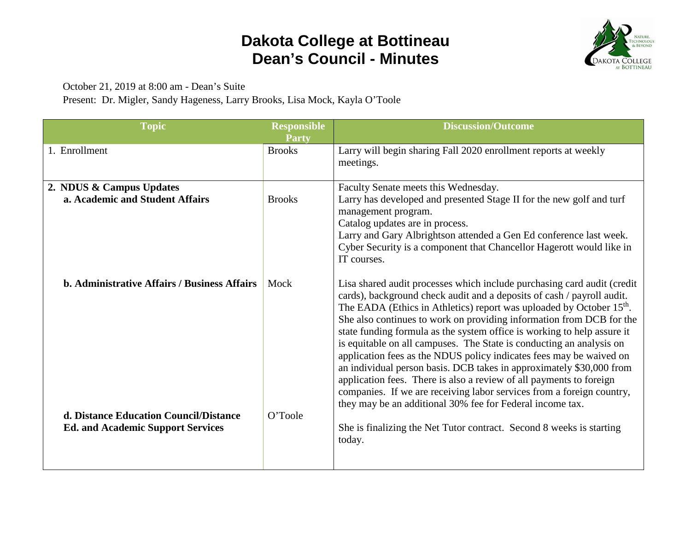## **Dakota College at Bottineau Dean's Council - Minutes**



October 21, 2019 at 8:00 am - Dean's Suite

Present: Dr. Migler, Sandy Hageness, Larry Brooks, Lisa Mock, Kayla O'Toole

| <b>Topic</b>                                                                       | <b>Responsible</b><br><b>Party</b> | <b>Discussion/Outcome</b>                                                                                                                                                                                                                                                                                                                                                                                                                                                                                                                                                                                                                                                                                                                                                                                                     |
|------------------------------------------------------------------------------------|------------------------------------|-------------------------------------------------------------------------------------------------------------------------------------------------------------------------------------------------------------------------------------------------------------------------------------------------------------------------------------------------------------------------------------------------------------------------------------------------------------------------------------------------------------------------------------------------------------------------------------------------------------------------------------------------------------------------------------------------------------------------------------------------------------------------------------------------------------------------------|
| 1. Enrollment                                                                      | <b>Brooks</b>                      | Larry will begin sharing Fall 2020 enrollment reports at weekly<br>meetings.                                                                                                                                                                                                                                                                                                                                                                                                                                                                                                                                                                                                                                                                                                                                                  |
| 2. NDUS & Campus Updates<br>a. Academic and Student Affairs                        | <b>Brooks</b>                      | Faculty Senate meets this Wednesday.<br>Larry has developed and presented Stage II for the new golf and turf<br>management program.<br>Catalog updates are in process.<br>Larry and Gary Albrightson attended a Gen Ed conference last week.<br>Cyber Security is a component that Chancellor Hagerott would like in<br>IT courses.                                                                                                                                                                                                                                                                                                                                                                                                                                                                                           |
| <b>b. Administrative Affairs / Business Affairs</b>                                | Mock                               | Lisa shared audit processes which include purchasing card audit (credit)<br>cards), background check audit and a deposits of cash / payroll audit.<br>The EADA (Ethics in Athletics) report was uploaded by October 15 <sup>th</sup> .<br>She also continues to work on providing information from DCB for the<br>state funding formula as the system office is working to help assure it<br>is equitable on all campuses. The State is conducting an analysis on<br>application fees as the NDUS policy indicates fees may be waived on<br>an individual person basis. DCB takes in approximately \$30,000 from<br>application fees. There is also a review of all payments to foreign<br>companies. If we are receiving labor services from a foreign country,<br>they may be an additional 30% fee for Federal income tax. |
| d. Distance Education Council/Distance<br><b>Ed. and Academic Support Services</b> | O'Toole                            | She is finalizing the Net Tutor contract. Second 8 weeks is starting<br>today.                                                                                                                                                                                                                                                                                                                                                                                                                                                                                                                                                                                                                                                                                                                                                |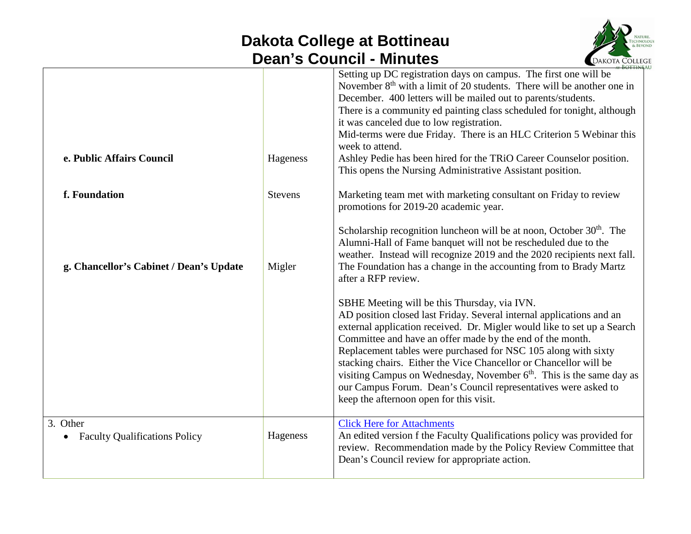## **Dakota College at Bottineau Dean's Council - Minutes**



|                                                  |                | Setting up DC registration days on campus. The first one will be<br>November 8 <sup>th</sup> with a limit of 20 students. There will be another one in<br>December. 400 letters will be mailed out to parents/students.<br>There is a community ed painting class scheduled for tonight, although<br>it was canceled due to low registration.<br>Mid-terms were due Friday. There is an HLC Criterion 5 Webinar this<br>week to attend.                                                                                                                                                    |
|--------------------------------------------------|----------------|--------------------------------------------------------------------------------------------------------------------------------------------------------------------------------------------------------------------------------------------------------------------------------------------------------------------------------------------------------------------------------------------------------------------------------------------------------------------------------------------------------------------------------------------------------------------------------------------|
| e. Public Affairs Council                        | Hageness       | Ashley Pedie has been hired for the TRiO Career Counselor position.<br>This opens the Nursing Administrative Assistant position.                                                                                                                                                                                                                                                                                                                                                                                                                                                           |
| f. Foundation                                    | <b>Stevens</b> | Marketing team met with marketing consultant on Friday to review<br>promotions for 2019-20 academic year.                                                                                                                                                                                                                                                                                                                                                                                                                                                                                  |
| g. Chancellor's Cabinet / Dean's Update          | Migler         | Scholarship recognition luncheon will be at noon, October $30th$ . The<br>Alumni-Hall of Fame banquet will not be rescheduled due to the<br>weather. Instead will recognize 2019 and the 2020 recipients next fall.<br>The Foundation has a change in the accounting from to Brady Martz<br>after a RFP review.                                                                                                                                                                                                                                                                            |
|                                                  |                | SBHE Meeting will be this Thursday, via IVN.<br>AD position closed last Friday. Several internal applications and an<br>external application received. Dr. Migler would like to set up a Search<br>Committee and have an offer made by the end of the month.<br>Replacement tables were purchased for NSC 105 along with sixty<br>stacking chairs. Either the Vice Chancellor or Chancellor will be<br>visiting Campus on Wednesday, November $6th$ . This is the same day as<br>our Campus Forum. Dean's Council representatives were asked to<br>keep the afternoon open for this visit. |
| 3. Other<br><b>Faculty Qualifications Policy</b> | Hageness       | <b>Click Here for Attachments</b><br>An edited version f the Faculty Qualifications policy was provided for<br>review. Recommendation made by the Policy Review Committee that<br>Dean's Council review for appropriate action.                                                                                                                                                                                                                                                                                                                                                            |